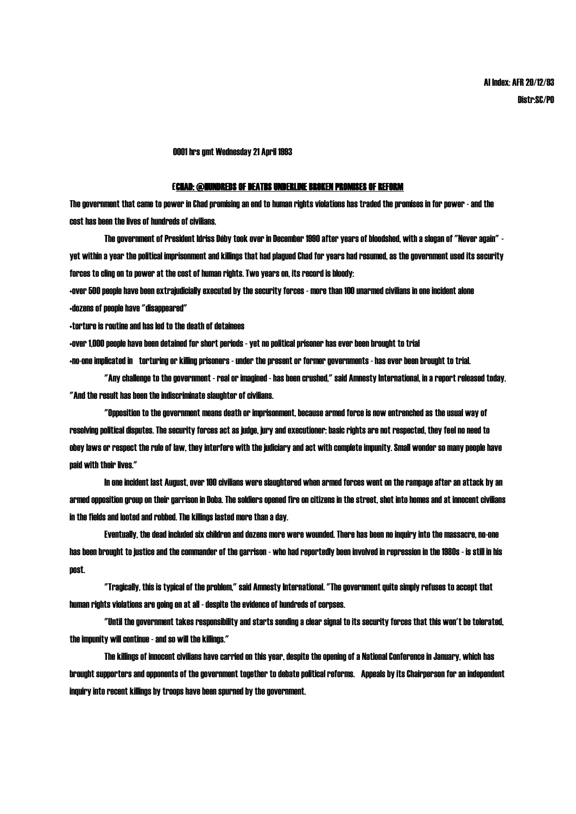0001 hrs gmt Wednesday 21 April 1993

## £CHAD: @HUNDREDS OF DEATHS UNDERLINE BROKEN PROMISES OF REFORM

The government that came to power in Chad promising an end to human rights violations has traded the promises in for power - and the cost has been the lives of hundreds of civilians.

The government of President Idriss Déby took over in December 1990 after years of bloodshed, with a slogan of "Never again" yet within a year the political imprisonment and killings that had plagued Chad for years had resumed, as the government used its security forces to cling on to power at the cost of human rights. Two years on, its record is bloody:

•over 500 people have been extrajudicially executed by the security forces - more than 100 unarmed civilians in one incident alone •dozens of people have "disappeared"

•torture is routine and has led to the death of detainees

•over 1,000 people have been detained for short periods -yet no political prisoner has ever been brought to trial

•no-one implicated in torturing or killing prisoners - under the present or former governments - has ever been brought to trial.

"Any challenge to the government - real or imagined - has been crushed," said Amnesty International, in a report released today. "And the result has been the indiscriminate slaughter of civilians.

"Opposition to the government means death or imprisonment, because armed force is now entrenched as the usual way of resolving political disputes. The security forces act as judge, jury and executioner: basic rights are not respected, they feel no need to obey laws or respect the rule of law, they interfere with the judiciary and act with complete impunity. Small wonder so many people have paid with their lives."

In one incident last August, over 100 civilians were slaughtered when armed forces went on the rampage after an attack by an armed opposition group on their garrison in Doba. The soldiers opened fire on citizens in the street, shot into homes and at innocent civilians in the fields and looted and robbed. The killings lasted more than a day.

Eventually, the dead included six children and dozens more were wounded. There has been no inquiry into the massacre, no-one has been brought to justice and the commander of the garrison - who had reportedly been involved in repression in the 1980s - is still in his post.

"Tragically, this is typical of the problem," said Amnesty International. "The government quite simply refuses to accept that human rights violations are going on at all - despite the evidence of hundreds of corpses.

"Until the government takes responsibility and starts sending a clear signal to its security forces that this won't be tolerated, the impunity will continue - and so will the killings."

The killings of innocent civilians have carried on this year, despite the opening of a National Conference in January, which has brought supporters and opponents of the government together to debate political reforms. Appeals by its Chairperson for an independent inquiry into recent killings by troops have been spurned by the government.